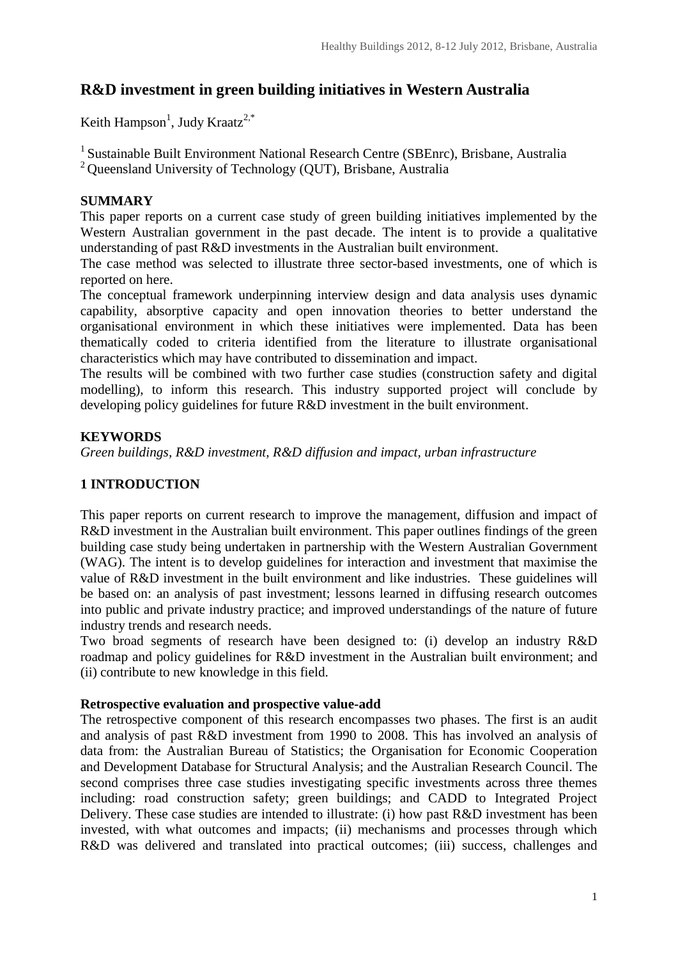# **R&D investment in green building initiatives in Western Australia**

Keith Hampson<sup>1</sup>, Judy Kraatz<sup>2,\*</sup>

<sup>1</sup> Sustainable Built Environment National Research Centre (SBEnrc), Brisbane, Australia <sup>2</sup> Queensland University of Technology (QUT), Brisbane, Australia

### **SUMMARY**

This paper reports on a current case study of green building initiatives implemented by the Western Australian government in the past decade. The intent is to provide a qualitative understanding of past R&D investments in the Australian built environment.

The case method was selected to illustrate three sector-based investments, one of which is reported on here.

The conceptual framework underpinning interview design and data analysis uses dynamic capability, absorptive capacity and open innovation theories to better understand the organisational environment in which these initiatives were implemented. Data has been thematically coded to criteria identified from the literature to illustrate organisational characteristics which may have contributed to dissemination and impact.

The results will be combined with two further case studies (construction safety and digital modelling), to inform this research. This industry supported project will conclude by developing policy guidelines for future R&D investment in the built environment.

### **KEYWORDS**

*Green buildings, R&D investment, R&D diffusion and impact, urban infrastructure*

### **1 INTRODUCTION**

This paper reports on current research to improve the management, diffusion and impact of R&D investment in the Australian built environment. This paper outlines findings of the green building case study being undertaken in partnership with the Western Australian Government (WAG). The intent is to develop guidelines for interaction and investment that maximise the value of R&D investment in the built environment and like industries. These guidelines will be based on: an analysis of past investment; lessons learned in diffusing research outcomes into public and private industry practice; and improved understandings of the nature of future industry trends and research needs.

Two broad segments of research have been designed to: (i) develop an industry R&D roadmap and policy guidelines for R&D investment in the Australian built environment; and (ii) contribute to new knowledge in this field.

#### **Retrospective evaluation and prospective value-add**

The retrospective component of this research encompasses two phases. The first is an audit and analysis of past R&D investment from 1990 to 2008. This has involved an analysis of data from: the Australian Bureau of Statistics; the Organisation for Economic Cooperation and Development Database for Structural Analysis; and the Australian Research Council. The second comprises three case studies investigating specific investments across three themes including: road construction safety; green buildings; and CADD to Integrated Project Delivery. These case studies are intended to illustrate: (i) how past R&D investment has been invested, with what outcomes and impacts; (ii) mechanisms and processes through which R&D was delivered and translated into practical outcomes; (iii) success, challenges and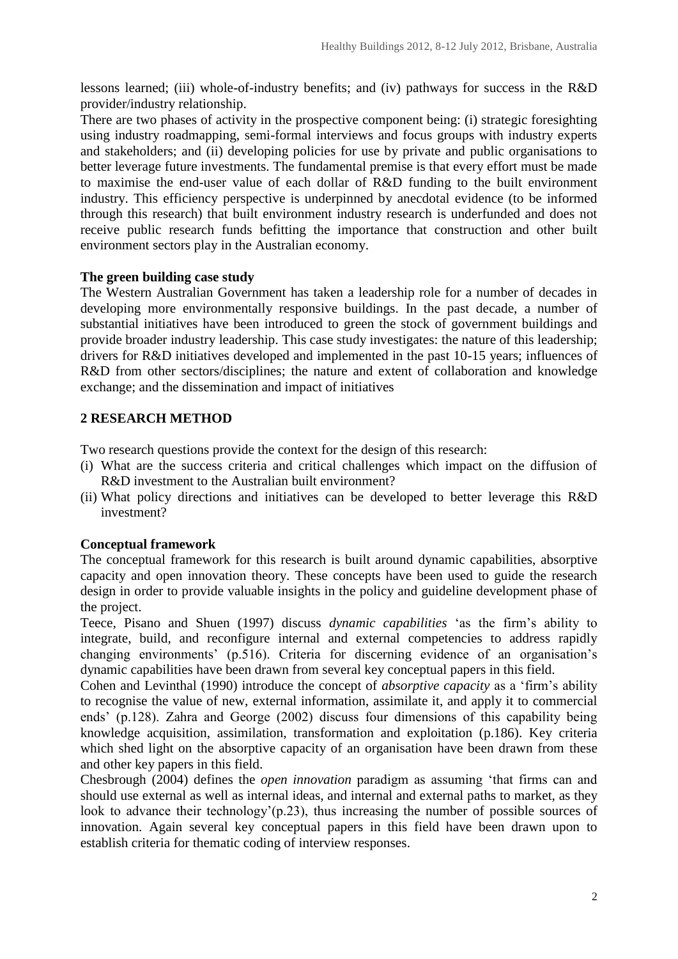lessons learned; (iii) whole-of-industry benefits; and (iv) pathways for success in the R&D provider/industry relationship.

There are two phases of activity in the prospective component being: (i) strategic foresighting using industry roadmapping, semi-formal interviews and focus groups with industry experts and stakeholders; and (ii) developing policies for use by private and public organisations to better leverage future investments. The fundamental premise is that every effort must be made to maximise the end-user value of each dollar of R&D funding to the built environment industry. This efficiency perspective is underpinned by anecdotal evidence (to be informed through this research) that built environment industry research is underfunded and does not receive public research funds befitting the importance that construction and other built environment sectors play in the Australian economy.

#### **The green building case study**

The Western Australian Government has taken a leadership role for a number of decades in developing more environmentally responsive buildings. In the past decade, a number of substantial initiatives have been introduced to green the stock of government buildings and provide broader industry leadership. This case study investigates: the nature of this leadership; drivers for R&D initiatives developed and implemented in the past 10-15 years; influences of R&D from other sectors/disciplines; the nature and extent of collaboration and knowledge exchange; and the dissemination and impact of initiatives

#### **2 RESEARCH METHOD**

Two research questions provide the context for the design of this research:

- (i) What are the success criteria and critical challenges which impact on the diffusion of R&D investment to the Australian built environment?
- (ii) What policy directions and initiatives can be developed to better leverage this R&D investment?

#### **Conceptual framework**

The conceptual framework for this research is built around dynamic capabilities, absorptive capacity and open innovation theory. These concepts have been used to guide the research design in order to provide valuable insights in the policy and guideline development phase of the project.

Teece, Pisano and Shuen (1997) discuss *dynamic capabilities* 'as the firm's ability to integrate, build, and reconfigure internal and external competencies to address rapidly changing environments' (p.516). Criteria for discerning evidence of an organisation's dynamic capabilities have been drawn from several key conceptual papers in this field.

Cohen and Levinthal (1990) introduce the concept of *absorptive capacity* as a 'firm's ability to recognise the value of new, external information, assimilate it, and apply it to commercial ends' (p.128). Zahra and George (2002) discuss four dimensions of this capability being knowledge acquisition, assimilation, transformation and exploitation (p.186). Key criteria which shed light on the absorptive capacity of an organisation have been drawn from these and other key papers in this field.

Chesbrough (2004) defines the *open innovation* paradigm as assuming 'that firms can and should use external as well as internal ideas, and internal and external paths to market, as they look to advance their technology'(p.23), thus increasing the number of possible sources of innovation. Again several key conceptual papers in this field have been drawn upon to establish criteria for thematic coding of interview responses.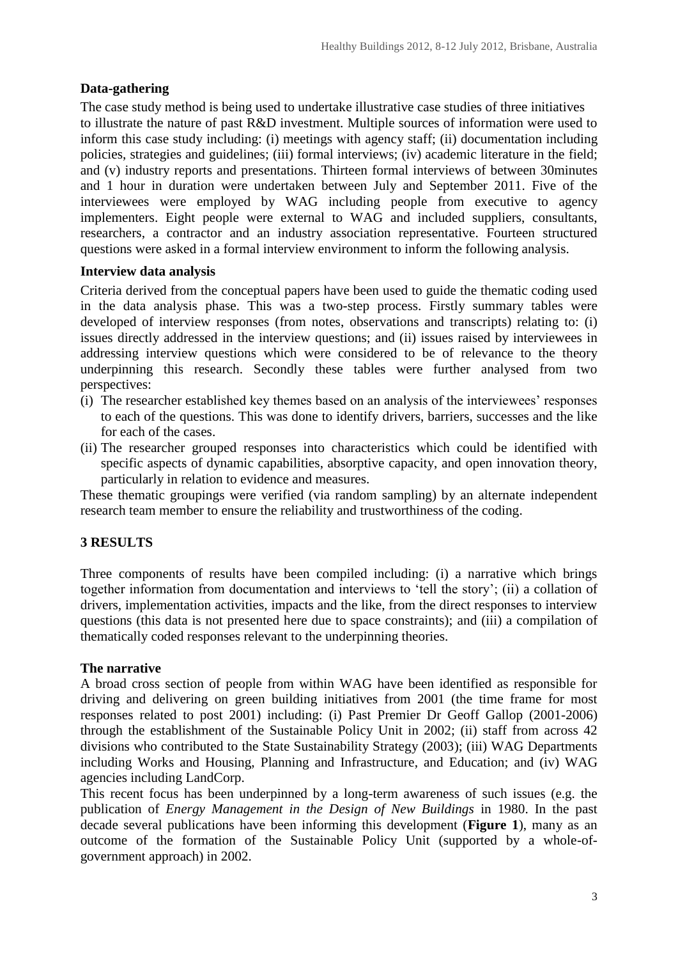### **Data-gathering**

The case study method is being used to undertake illustrative case studies of three initiatives to illustrate the nature of past R&D investment. Multiple sources of information were used to inform this case study including: (i) meetings with agency staff; (ii) documentation including policies, strategies and guidelines; (iii) formal interviews; (iv) academic literature in the field; and (v) industry reports and presentations. Thirteen formal interviews of between 30minutes and 1 hour in duration were undertaken between July and September 2011. Five of the interviewees were employed by WAG including people from executive to agency implementers. Eight people were external to WAG and included suppliers, consultants, researchers, a contractor and an industry association representative. Fourteen structured questions were asked in a formal interview environment to inform the following analysis.

#### **Interview data analysis**

Criteria derived from the conceptual papers have been used to guide the thematic coding used in the data analysis phase. This was a two-step process. Firstly summary tables were developed of interview responses (from notes, observations and transcripts) relating to: (i) issues directly addressed in the interview questions; and (ii) issues raised by interviewees in addressing interview questions which were considered to be of relevance to the theory underpinning this research. Secondly these tables were further analysed from two perspectives:

- (i) The researcher established key themes based on an analysis of the interviewees' responses to each of the questions. This was done to identify drivers, barriers, successes and the like for each of the cases.
- (ii) The researcher grouped responses into characteristics which could be identified with specific aspects of dynamic capabilities, absorptive capacity, and open innovation theory, particularly in relation to evidence and measures.

These thematic groupings were verified (via random sampling) by an alternate independent research team member to ensure the reliability and trustworthiness of the coding.

# **3 RESULTS**

Three components of results have been compiled including: (i) a narrative which brings together information from documentation and interviews to 'tell the story'; (ii) a collation of drivers, implementation activities, impacts and the like, from the direct responses to interview questions (this data is not presented here due to space constraints); and (iii) a compilation of thematically coded responses relevant to the underpinning theories.

#### **The narrative**

A broad cross section of people from within WAG have been identified as responsible for driving and delivering on green building initiatives from 2001 (the time frame for most responses related to post 2001) including: (i) Past Premier Dr Geoff Gallop (2001-2006) through the establishment of the Sustainable Policy Unit in 2002; (ii) staff from across 42 divisions who contributed to the State Sustainability Strategy (2003); (iii) WAG Departments including Works and Housing, Planning and Infrastructure, and Education; and (iv) WAG agencies including LandCorp.

This recent focus has been underpinned by a long-term awareness of such issues (e.g. the publication of *Energy Management in the Design of New Buildings* in 1980. In the past decade several publications have been informing this development (**[Figure 1](#page-3-0)**), many as an outcome of the formation of the Sustainable Policy Unit (supported by a whole-ofgovernment approach) in 2002.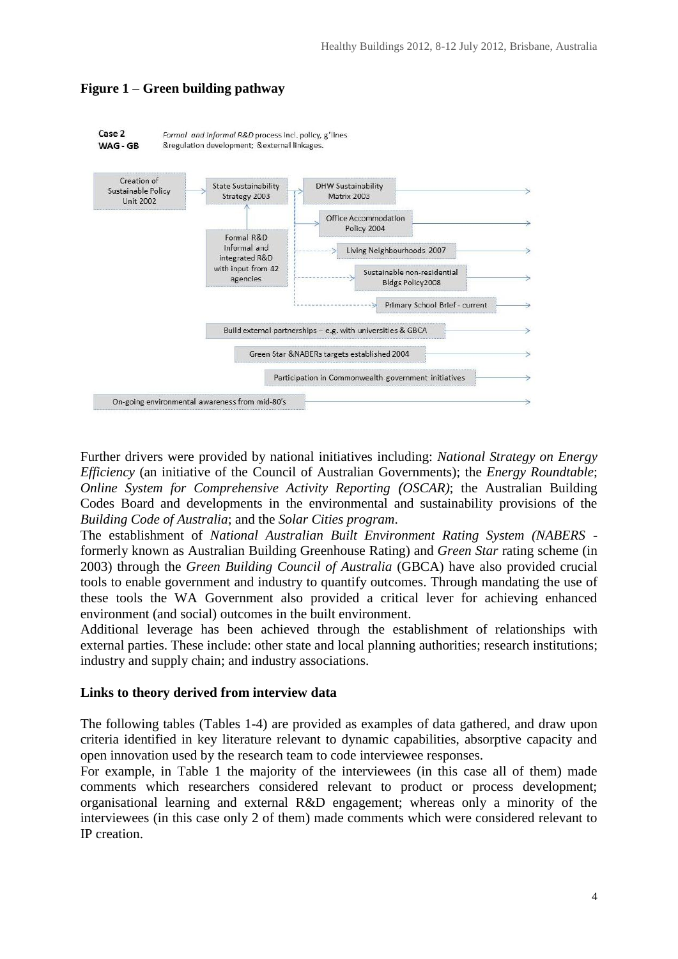

# <span id="page-3-0"></span>**Figure 1 – Green building pathway**

Further drivers were provided by national initiatives including: *National Strategy on Energy Efficiency* (an initiative of the Council of Australian Governments); the *Energy Roundtable*; *Online System for Comprehensive Activity Reporting (OSCAR)*; the Australian Building Codes Board and developments in the environmental and sustainability provisions of the *Building Code of Australia*; and the *Solar Cities program*.

The establishment of *National Australian Built Environment Rating System (NABERS*  formerly known as Australian Building Greenhouse Rating) and *Green Star* rating scheme (in 2003) through the *Green Building Council of Australia* (GBCA) have also provided crucial tools to enable government and industry to quantify outcomes. Through mandating the use of these tools the WA Government also provided a critical lever for achieving enhanced environment (and social) outcomes in the built environment.

Additional leverage has been achieved through the establishment of relationships with external parties. These include: other state and local planning authorities; research institutions; industry and supply chain; and industry associations.

#### **Links to theory derived from interview data**

The following tables (Tables 1-4) are provided as examples of data gathered, and draw upon criteria identified in key literature relevant to dynamic capabilities, absorptive capacity and open innovation used by the research team to code interviewee responses.

For example, in Table 1 the majority of the interviewees (in this case all of them) made comments which researchers considered relevant to product or process development; organisational learning and external R&D engagement; whereas only a minority of the interviewees (in this case only 2 of them) made comments which were considered relevant to IP creation.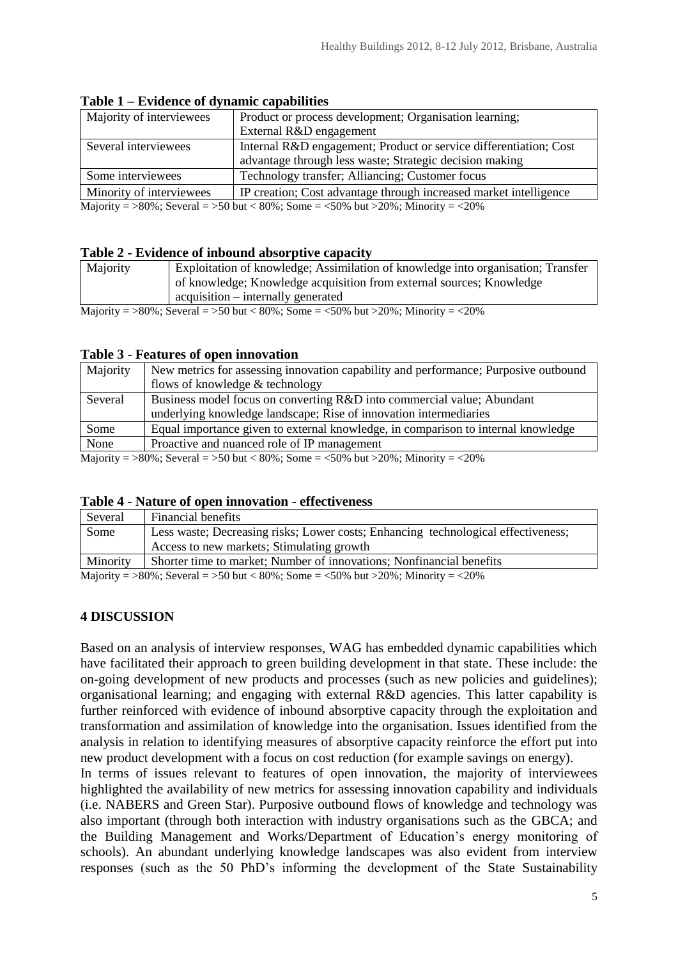| Majority of interviewees                                                                                                                                                        | Product or process development; Organisation learning;            |  |
|---------------------------------------------------------------------------------------------------------------------------------------------------------------------------------|-------------------------------------------------------------------|--|
|                                                                                                                                                                                 | External R&D engagement                                           |  |
| Several interviewees                                                                                                                                                            | Internal R&D engagement; Product or service differentiation; Cost |  |
|                                                                                                                                                                                 | advantage through less waste; Strategic decision making           |  |
| Some interviewees                                                                                                                                                               | Technology transfer; Alliancing; Customer focus                   |  |
| Minority of interviewees                                                                                                                                                        | IP creation; Cost advantage through increased market intelligence |  |
| Majority $-\frac{90\%}{20\%}$ . Several $-\frac{50}{\text{hut}}$ / 80%; Some $-\frac{50\%}{\text{hut}}$ but $\frac{200\%}{\text{hut}}$ . Minority $-\frac{200\%}{\text{hut}}$ . |                                                                   |  |

**Table 1 – Evidence of dynamic capabilities**

Majority =  $>80\%$ ; Several =  $>50$  but < 80%; Some =  $<50\%$  but  $>20\%$ ; Minority =  $<20\%$ 

#### **Table 2 - Evidence of inbound absorptive capacity**

| Majority                                                                                                                                  | Exploitation of knowledge; Assimilation of knowledge into organisation; Transfer |  |
|-------------------------------------------------------------------------------------------------------------------------------------------|----------------------------------------------------------------------------------|--|
|                                                                                                                                           | of knowledge; Knowledge acquisition from external sources; Knowledge             |  |
|                                                                                                                                           | acquisition – internally generated                                               |  |
| $M_{\odot}$ . $M_{\odot}$ , $M_{\odot}$ , $M_{\odot}$ , $M_{\odot}$ , $M_{\odot}$ , $M_{\odot}$ , $M_{\odot}$ , $M_{\odot}$ , $M_{\odot}$ |                                                                                  |  |

Majority =  $>80\%$ ; Several =  $>50$  but < 80%; Some =  $<50\%$  but  $>20\%$ ; Minority =  $<20\%$ 

#### **Table 3 - Features of open innovation**

| Majority | New metrics for assessing innovation capability and performance; Purposive outbound |
|----------|-------------------------------------------------------------------------------------|
|          | flows of knowledge & technology                                                     |
| Several  | Business model focus on converting R&D into commercial value; Abundant              |
|          | underlying knowledge landscape; Rise of innovation intermediaries                   |
| Some     | Equal importance given to external knowledge, in comparison to internal knowledge   |
| None     | Proactive and nuanced role of IP management                                         |
|          |                                                                                     |

Majority =  $>80\%$ ; Several =  $>50$  but < 80%; Some =  $<50\%$  but  $>20\%$ ; Minority =  $<20\%$ 

#### **Table 4 - Nature of open innovation - effectiveness**

| Several        | Financial benefits                                                                |
|----------------|-----------------------------------------------------------------------------------|
| Some           | Less waste; Decreasing risks; Lower costs; Enhancing technological effectiveness; |
|                | Access to new markets; Stimulating growth                                         |
| Minority       | Shorter time to market; Number of innovations; Nonfinancial benefits              |
| .<br>$- - - -$ |                                                                                   |

Majority =  $>80\%$ ; Several =  $>50$  but < 80%; Some =  $<50\%$  but  $>20\%$ ; Minority =  $<20\%$ 

#### **4 DISCUSSION**

Based on an analysis of interview responses, WAG has embedded dynamic capabilities which have facilitated their approach to green building development in that state. These include: the on-going development of new products and processes (such as new policies and guidelines); organisational learning; and engaging with external R&D agencies. This latter capability is further reinforced with evidence of inbound absorptive capacity through the exploitation and transformation and assimilation of knowledge into the organisation. Issues identified from the analysis in relation to identifying measures of absorptive capacity reinforce the effort put into new product development with a focus on cost reduction (for example savings on energy).

In terms of issues relevant to features of open innovation, the majority of interviewees highlighted the availability of new metrics for assessing innovation capability and individuals (i.e. NABERS and Green Star). Purposive outbound flows of knowledge and technology was also important (through both interaction with industry organisations such as the GBCA; and the Building Management and Works/Department of Education's energy monitoring of schools). An abundant underlying knowledge landscapes was also evident from interview responses (such as the 50 PhD's informing the development of the State Sustainability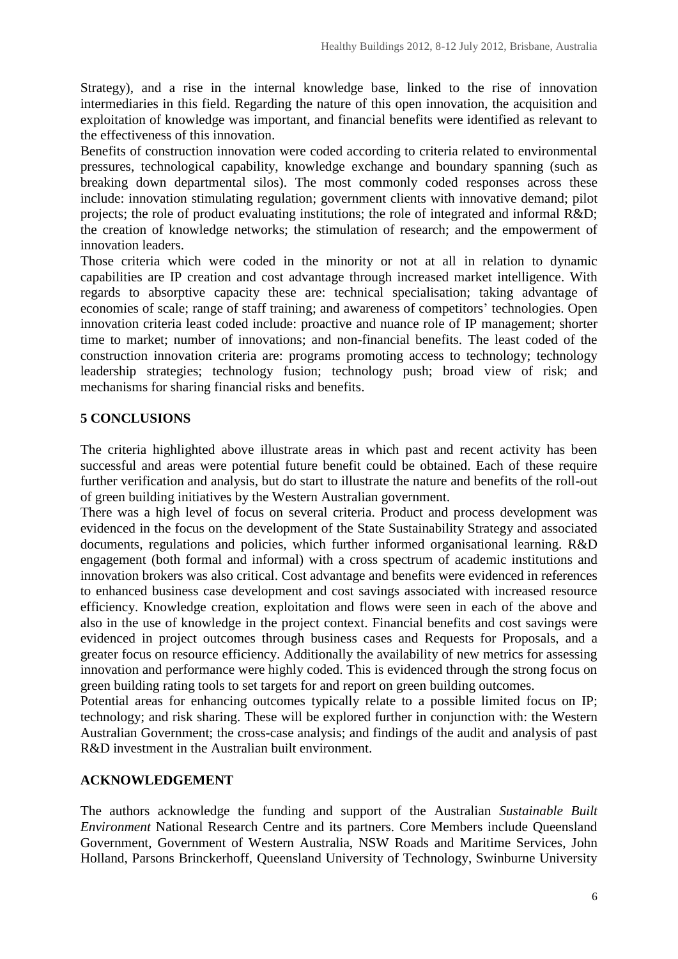Strategy), and a rise in the internal knowledge base, linked to the rise of innovation intermediaries in this field. Regarding the nature of this open innovation, the acquisition and exploitation of knowledge was important, and financial benefits were identified as relevant to the effectiveness of this innovation.

Benefits of construction innovation were coded according to criteria related to environmental pressures, technological capability, knowledge exchange and boundary spanning (such as breaking down departmental silos). The most commonly coded responses across these include: innovation stimulating regulation; government clients with innovative demand; pilot projects; the role of product evaluating institutions; the role of integrated and informal R&D; the creation of knowledge networks; the stimulation of research; and the empowerment of innovation leaders.

Those criteria which were coded in the minority or not at all in relation to dynamic capabilities are IP creation and cost advantage through increased market intelligence. With regards to absorptive capacity these are: technical specialisation; taking advantage of economies of scale; range of staff training; and awareness of competitors' technologies. Open innovation criteria least coded include: proactive and nuance role of IP management; shorter time to market; number of innovations; and non-financial benefits. The least coded of the construction innovation criteria are: programs promoting access to technology; technology leadership strategies; technology fusion; technology push; broad view of risk; and mechanisms for sharing financial risks and benefits.

#### **5 CONCLUSIONS**

The criteria highlighted above illustrate areas in which past and recent activity has been successful and areas were potential future benefit could be obtained. Each of these require further verification and analysis, but do start to illustrate the nature and benefits of the roll-out of green building initiatives by the Western Australian government.

There was a high level of focus on several criteria. Product and process development was evidenced in the focus on the development of the State Sustainability Strategy and associated documents, regulations and policies, which further informed organisational learning. R&D engagement (both formal and informal) with a cross spectrum of academic institutions and innovation brokers was also critical. Cost advantage and benefits were evidenced in references to enhanced business case development and cost savings associated with increased resource efficiency. Knowledge creation, exploitation and flows were seen in each of the above and also in the use of knowledge in the project context. Financial benefits and cost savings were evidenced in project outcomes through business cases and Requests for Proposals, and a greater focus on resource efficiency. Additionally the availability of new metrics for assessing innovation and performance were highly coded. This is evidenced through the strong focus on green building rating tools to set targets for and report on green building outcomes.

Potential areas for enhancing outcomes typically relate to a possible limited focus on IP; technology; and risk sharing. These will be explored further in conjunction with: the Western Australian Government; the cross-case analysis; and findings of the audit and analysis of past R&D investment in the Australian built environment.

#### **ACKNOWLEDGEMENT**

The authors acknowledge the funding and support of the Australian *Sustainable Built Environment* National Research Centre and its partners. Core Members include Queensland Government, Government of Western Australia, NSW Roads and Maritime Services, John Holland, Parsons Brinckerhoff, Queensland University of Technology, Swinburne University